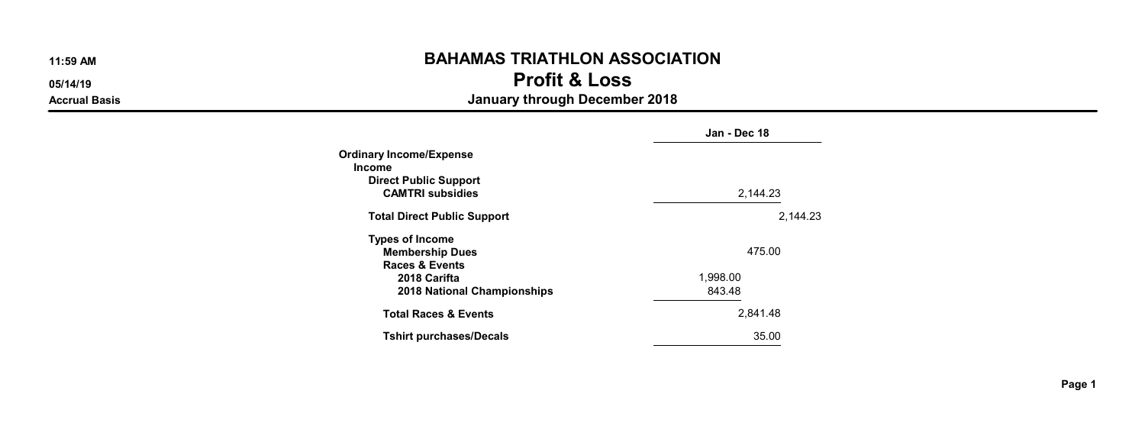05/14/19 Profit & Loss

|                                    | Jan - Dec 18 |
|------------------------------------|--------------|
| Ordinary Income/Expense            |              |
| Income                             |              |
| <b>Direct Public Support</b>       |              |
| <b>CAMTRI subsidies</b>            | 2,144.23     |
| <b>Total Direct Public Support</b> | 2.144.23     |
| <b>Types of Income</b>             |              |
| <b>Membership Dues</b>             | 475.00       |
| <b>Races &amp; Events</b>          |              |
| 2018 Carifta                       | 1,998.00     |
| 2018 National Championships        | 843.48       |
| <b>Total Races &amp; Events</b>    | 2.841.48     |
| <b>Tshirt purchases/Decals</b>     | 35.00        |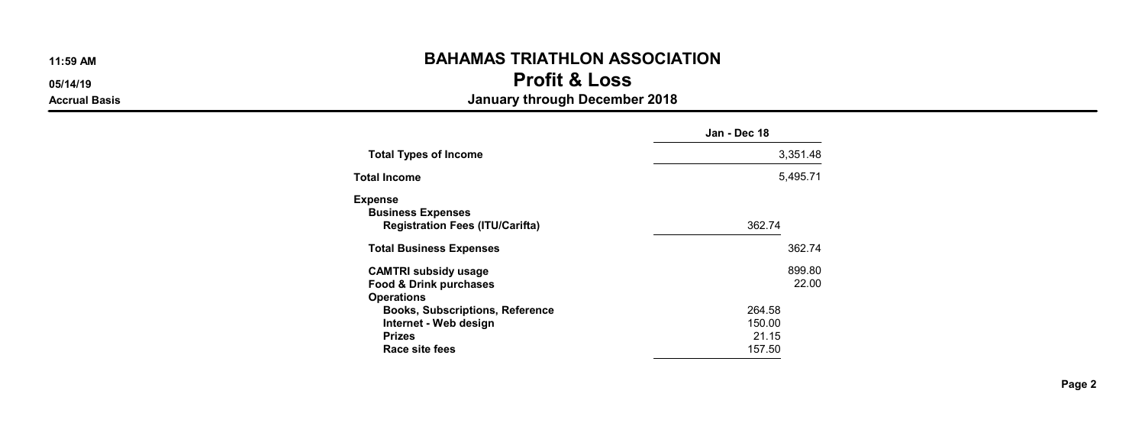05/14/19 Profit & Loss

|                                                                                                    | Jan - Dec 18                        |
|----------------------------------------------------------------------------------------------------|-------------------------------------|
| <b>Total Types of Income</b>                                                                       | 3.351.48                            |
| <b>Total Income</b>                                                                                | 5.495.71                            |
| <b>Expense</b><br><b>Business Expenses</b><br><b>Registration Fees (ITU/Carifta)</b>               | 362.74                              |
| <b>Total Business Expenses</b>                                                                     | 362.74                              |
| <b>CAMTRI subsidy usage</b><br>Food & Drink purchases<br><b>Operations</b>                         | 899.80<br>22.00                     |
| <b>Books, Subscriptions, Reference</b><br>Internet - Web design<br><b>Prizes</b><br>Race site fees | 264.58<br>150.00<br>21.15<br>157.50 |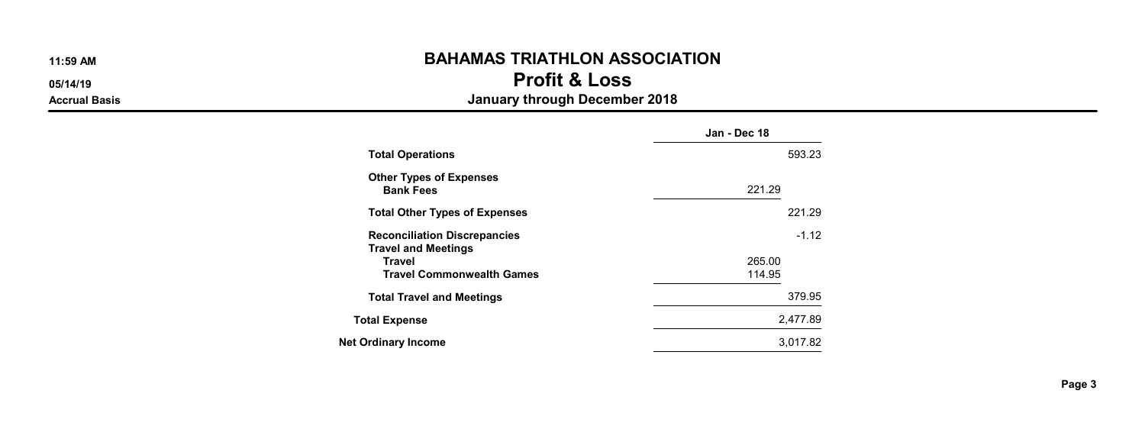05/14/19 Profit & Loss

|                                                                   | Jan - Dec 18 |
|-------------------------------------------------------------------|--------------|
| <b>Total Operations</b>                                           | 593.23       |
| <b>Other Types of Expenses</b><br><b>Bank Fees</b>                | 221.29       |
| <b>Total Other Types of Expenses</b>                              | 221.29       |
| <b>Reconciliation Discrepancies</b><br><b>Travel and Meetings</b> | $-1.12$      |
| <b>Travel</b>                                                     | 265.00       |
| <b>Travel Commonwealth Games</b>                                  | 114.95       |
| <b>Total Travel and Meetings</b>                                  | 379.95       |
| <b>Total Expense</b>                                              | 2,477.89     |
| Net Ordinary Income                                               | 3.017.82     |